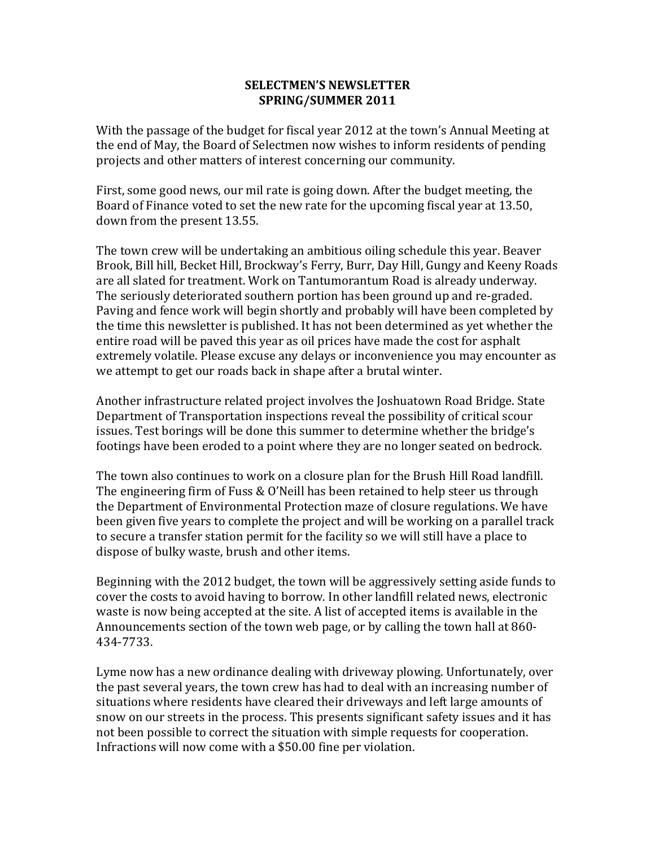## **SELECTMEN'S NEWSLETTER** SPRING/SUMMER 2011

With the passage of the budget for fiscal year 2012 at the town's Annual Meeting at the end of May, the Board of Selectmen now wishes to inform residents of pending projects and other matters of interest concerning our community.

First, some good news, our mil rate is going down. After the budget meeting, the Board of Finance voted to set the new rate for the upcoming fiscal year at 13.50, down from the present 13.55.

The town crew will be undertaking an ambitious oiling schedule this year. Beaver Brook, Bill hill, Becket Hill, Brockway's Ferry, Burr, Day Hill, Gungy and Keeny Roads are all slated for treatment. Work on Tantumorantum Road is already underway. The seriously deteriorated southern portion has been ground up and re-graded. Paving and fence work will begin shortly and probably will have been completed by the time this newsletter is published. It has not been determined as yet whether the entire road will be paved this year as oil prices have made the cost for asphalt extremely volatile. Please excuse any delays or inconvenience you may encounter as we attempt to get our roads back in shape after a brutal winter.

Another infrastructure related project involves the Joshuatown Road Bridge. State Department of Transportation inspections reveal the possibility of critical scour issues. Test borings will be done this summer to determine whether the bridge's footings have been eroded to a point where they are no longer seated on bedrock.

The town also continues to work on a closure plan for the Brush Hill Road landfill. The engineering firm of Fuss & O'Neill has been retained to help steer us through the Department of Environmental Protection maze of closure regulations. We have been given five years to complete the project and will be working on a parallel track to secure a transfer station permit for the facility so we will still have a place to dispose of bulky waste, brush and other items.

Beginning with the 2012 budget, the town will be aggressively setting aside funds to cover the costs to avoid having to borrow. In other landfill related news, electronic waste is now being accepted at the site. A list of accepted items is available in the Announcements section of the town web page, or by calling the town hall at 860-434-7733.

Lyme now has a new ordinance dealing with driveway plowing. Unfortunately, over the past several years, the town crew has had to deal with an increasing number of situations where residents have cleared their driveways and left large amounts of snow on our streets in the process. This presents significant safety issues and it has not been possible to correct the situation with simple requests for cooperation. Infractions will now come with a \$50.00 fine per violation.